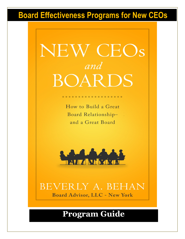# **Board Effectiveness Programs for New CEOs**

# NEW CEOs and BOARDS

How to Build a Great Board Relationshipand a Great Board

. . . . . . . . . . . . . . . . .



BEVERLY A. BEHAN **Board Advisor, LLC - New York** 

## **Program Guide**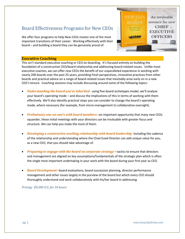### Board Effectiveness Programs for New CEOs

We offer four programs to help New CEOs master one of the most important transitions of their career: Working effectively with their board – and building a board they can be genuinely proud of.



#### **Executive Coaching**

This isn't standard executive coaching or CEO on-boarding. It's focused entirely on building the foundation of a constructive CEO/board relationship and addressing board-related issues. Unlike most executive coaches, we can offer new CEOs the benefit of our unparalleled experience in working with nearly 200 boards over the past 25 years, providing fresh perspectives, innovative practices from other boards and practical advice on a range of board-related issues that inevitably arise early on in a new CEO's tenure. Coaching sessions may include discussing around some of the following topics:

- *Understanding the board you've inherited –*using five board archetypes model, we'll analyze your board's operating mode – and discuss the implications of this in terms of working with them effectively. We'll also identify practical steps you can consider to change the board's operating mode, where necessary (for example, from micro-management to collaborative oversight).
- *Preliminary one-on-one's with board members* –an important opportunity that many new CEOs squander, these initial meetings with your directors can be invaluable with greater focus and structure. We can help you make the most of them.
- *Developing a constructive working relationship with board leadership -*including the cadence of the relationship and understanding where the Chair/Lead Director can add unique value for you, as a new CEO, that you should take advantage of.
- *Preparing to engage with the board on corporate strategy* tactics to ensure that directors and management are aligned on key assumptions/fundamentals of the strategic plan which is often the single most important undertaking in your work with the board during your first year as CEO.
- *Board Development* –board evaluations, board succession planning, director performance management and other issues largely in the purview of the board but which every CEO should thoroughly understand and work collaboratively with his/her board in addressing.

*Pricing: \$9,500 U.S. for 10 hours*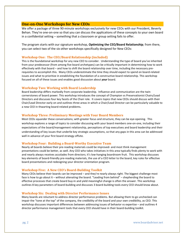#### **One-on-One Workshops for New CEOs**

We offer a package of three 90-minute workshops exclusively for new CEOs with our President, Beverly Behan. They're one-on-one so that you can discuss the applications of these concepts to your own board in a confidential setting – something that a classroom or group setting fails to offer.

The program starts with our signature workshop, **Optimizing the CEO/Board Relationship**; from there, you can select two of the six other workshops specifically designed for New CEOs:

#### **Workshop One: The CEO/Board Relationship (included)**

This is the foundational workshop for any new CEO to consider. Understanding the type of board you've inherited from your predecessor (from among five board archetypes) can be critically important in determining how to work effectively with that board – and how to shift the board relationship over time, including the necessary prerequisites to accomplish this. Many CEOs underestimate the time they should expect to spend on board-related issues and what to prioritize in establishing the foundation of a constructive board relationship. This workshop focused on all of these issues and enables good discussion about *your* board.

#### **Workshop Two: Working with Board Leadership**

Board leadership differs markedly from corporate leadership. Influence and communication are the twin cornerstones of board power. This workshop introduces the concept of Champion vs Preservationist Chairs/Lead Directors and discusses four key facets of the Chair role. It covers topics that new CEOs should discuss with their Chair/Lead Director early on and outlines three areas in which a Chair/Lead Director can be particularly valuable to a new CEO in thwarting board-related problems.

#### **Workshop Three: Preliminary Meetings with Your Board Members**

Most CEOs squander these conversations; with greater focus and structure, they can be eye-opening. This workshop explores a range of topics to consider discussing with your board members one-on-one, including their expectations of the board/management relationship, perceptions of top executives and board leadership and their understanding of key issues that underlie key strategic assumptions, so that any gaps in this area can be addressed well in advance of your first board strategy offsite.

#### **Workshop Four: Building a Board-Worthy Executive Team**

Nearly all boards believe their pre-reading materials could be improved- and most think management presentations could be better, as well. Any CEO who takes initiatives in this area typically finds plenty to work with and nearly always receives accolades from directors; it's low-hanging boardroom fruit. This workshop discusses key elements of board-friendly pre-reading materials, the use of a CEO letter to the board, key rules for effective board presentations and redesigning your director orientation program.

#### **Workshop Five: A New CEO's Board-Building Toolkit**

Many CEOs believe their boards can be improved – and they're nearly always right. The biggest challenge most face is how to go about it – without alienating the board. "Leading from behind" – shepherding the board to effective processes that create board buy-in and yield meaningful change is often the answer. This workshop outlines 8 key parameters of board-building and discusses 3 board-building tools every CEO should know about.

#### **Workshop Six: Dealing with Director Performance Issues**

Many boards are reluctant to address director performance problems. But allowing them to go unchecked can impair the "tone at the top" of the company, the credibility of the board and your own credibility, as CEO. This workshop discusses important differences between addressing issues of behavior vs expertise – and outlines 4 director performance management tools that every CEO should have in their board-building toolkit.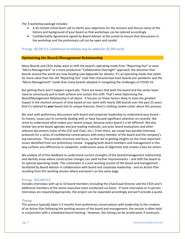The 3-workshop package includes:

- A 45-minute initial Zoom call to clarify your objectives for the sessions and discuss some of the history and background of your board so that workshops can be tailored accordingly
- Confidentiality Agreement signed by Board Advisor at the outset to ensure that discussions in the workshop and the preliminary call can be open and candid

#### *Pricing: \$9,500 U.S. (additional workshops may be added for \$2,500 each)*

#### **Optimizing the Board/Management Relationship**

Many Boards and CEOs today want to shift the board's operating mode from "Reporting Out" or even "Micro-Management" to a more productive "Collaborative Oversight" approach, the direction that boards around the world are now heading (see Appendix for details). It's an operating mode that yields far more value than the old "Reporting Out" style that characterized most boards pre-pandemic and the "Micro-Management" mode than many boards adopted in navigating the challenges of COVID-19.

But getting there won't happen organically. There are levers that both the board and the senior team need to consciously pull to both achieve and sustain this shift. That's what Optimizing the Board/Management Relationship is all about. It focuses on those factors likely to have the greatest impact in the shortest amount of time based on our work with nearly 200 boards over the past 25 years. And it's tailored to *your* board and its unique features; there's nothing cookie-cutter about this process.

We start with preliminary discussions with board and corporate leadership to understand your board – its history, issues you're currently dealing with or have focused significant attention on recently. We strive to understand what makes your board unique, because every board is a bit different. We also review two prior board agendas and pre-reading materials, any prior board evaluations and other relevant documents (roles of the CEO and Chair, etc.) From there, we create two parallel interview protocols for a series of confidential conversations with every member of the board and the company's top executives. This provides structure and focus, so that we're getting insights on the most important issues identified from our preliminary review. Engaging both board members and management in this way surfaces any differences in viewpoint, underscores areas of alignment and creates a bias for action.

We analyze all of this feedback to understand current strengths of the board/management relationship and identify areas where constructive changes can yield further improvements – and shift the board to its optimal operating mode. This culminates in a joint working session of the board and management facilitated by Board Advisor in collaboration with board and corporate leadership - and an Action Plan resulting from this working session where everyone's on the same page.

#### *Pricing: \$59,500 U.S.*

Includes interviews with up to 10 board members (including the Chair/Lead Director and the CEO) and 5 additional members of the senior executive team conducted via Zoom. If more interviews or in-person interviews are required/appropriate, the project can be expanded accordingly and we'll provide a quote.

#### *Timing*

This process typically takes 2-3 months from preliminary conversations with leadership to the creation of an Action Plan following the working session of the board and management; the session is often held in conjunction with a scheduled board meeting. However, this timing can be accelerated, if necessary.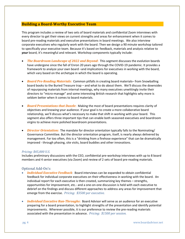#### **Building a Board-Worthy Executive Team**

This program includes a review of two sets of board materials and confidential Zoom interviews with every director to get their views on current strengths and areas for enhancement when it comes to board pre-reading materials and executive presentations in board meetings. We also interview corporate executives who regularly work with the board. Then we design a 90 minute workshop tailored to specifically your executive team. Because it's based on feedback, materials and analysis relative to *your* board, it's meaningful and relevant. Workshop components typically include:

- *The Boardroom Landscape of 2022 and Beyond***:** This segment discusses the evolution boards have undergone since the fall of Enron 20 years ago through the COVID-19 pandemic. It provides a framework to analyze your own board –and implications for executives in working with the board, which vary based on the archetype in which the board is operating.
- *Board Pre-Reading Materials***:** Common pitfalls in creating board materials– from Snowballing board books to the Buried Treasure trap – and what to do about them. We'll discuss the downsides of repurposing materials from internal meetings, why many executives unwittingly invite their directors to "micro-manage" and some interesting British research that highlights why more is seldom better when it comes to board materials.
- *Board Presentations that Dazzle***:** Making the most of board presentations requires clarity of objectives and knowing your audience. If your goal is to create a more collaborative board relationship, we'll discuss what's necessary to make that shift in working with your board. This segment also offers three important tips that can enable both seasoned executives and boardroom virgins to achieve more polished boardroom presentations.
- *Director Orientation:* The mandate for director orientation typically falls to the Nominating/ Governance Committee. But the director orientation program, itself, is nearly always delivered by management. Far too often, this is a "drinking from a firehose experience" that can be dramatically improved - through phasing, site visits, board buddies and other innovations.

#### *Pricing: \$45,000 U.S.*

Includes preliminary discussions with the CEO, confidential pre-workshop interviews with up to 8 board members and 4 senior executives (via Zoom) and review of 2 sets of board pre-reading materials.

#### Optional Add-On's:

- *Individual Executive Feedback:* Board interviews can be expanded to obtain confidential feedback for individual corporate executives on their effectiveness in working with the board. An individual report for each executive is then created, summarizing key themes – strengths, opportunities for improvement, etc.- and a one-on-one discussion is held with each executive to debrief on the findings and discuss different approaches to address any areas for improvement that emerge from the exercise. *Pricing: \$3500 per executive.*
- *Individual Executive Run-Throughs***:** Board Advisor will serve as an audience for an executive preparing for a board presentation, to highlight strengths of the presentation and identify potential improvements. Wherever possible, it is our preference to review the pre-reading materials associated with the presentation in advance. *Pricing: \$1500 per session.*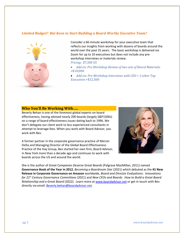#### *Limited Budget? But Keen to Start Building a Board-Worthy Executive Team?*



Consider a 60-minute workshop for your executive team that reflects our insights from working with dozens of boards around the world over the past 25 years. The basic workshop is delivered via Zoom for up to 10 executives but does not include any preworkshop interviews or materials review. *Pricing: \$7,500 US* 

- *Add on: Pre-Workshop Review of two sets of Board Materials:*  +\$10,000
- *Add-on: Pre-Workshop Interviews with CEO + 3 other Top Executives* +\$12,500

#### **Who You'll Be Working With…..**

Beverly Behan is one of the foremost global experts on board effectiveness, having advised nearly 200 boards (largely S&P1500s) on a range of board effectiveness issues dating back to 1996. We don't delegate our client work to less experienced consultants in attempt to leverage fees. When you work with Board Advisor, you work with Bev.

A former partner in the corporate governance practice of Mercer Delta and Managing Director of the Global Board Effectiveness Practice of the Hay Group, Bev started her own firm, Board Advisor, in New York more than a decade ago and continues to work with boards across the US and around the world.



She is the author of *Great Companies Deserve Great Boards* (Palgrave MacMillan, 2011) named **Governance Book of the Year in 2012**, *Becoming a Boardroom Star* (2021) which debuted as the **#1 New Release in Corporate Governance on Amazon** worldwide, *Board and Director Evaluations: Innovations for 21st Century Governance Committees* (2021) and *New CEOs and Boards: How to Build a Great Board Relationship and a Great Board* (2022). Learn more at www.boardadvisor.net or get in touch with Bev directly via email: Beverly.behan@boardadvisor.net.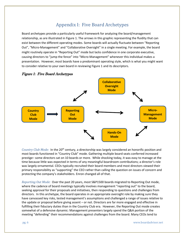## Appendix I: Five Board Archetypes

Board archetypes provide a particularly useful framework for analyzing the board/management relationship, as are illustrated in Figure 1. The arrows in this graphic representing the fluidity that can exist between the different operating modes. Some boards will actually fluctuate between "Reporting Out", "Micro-Management" and "Collaborative Oversight" in a single meeting. For example, the board might routinely operate in "Reporting Out" mode but lacks confidence in one corporate executive, causing directors to "jump the fence" into "Micro-Management" whenever this individual makes a presentation. However, most boards have a predominant operating style, which is what you might want to consider relative to your own board in reviewing Figure 1 and its descriptors.



#### Figure 1: Five Board Archetypes

*Country Club Mode:* In the 20th century, a directorship was largely considered an honorific position and most boards functioned in "Country Club" mode. Gathering multiple board seats conferred increased prestige– some directors sat on 10 boards or more. While shocking today, it was easy to manage at the time because little was expected in terms of any meaningful boardroom contributions; a director's role was largely ornamental. CEOs typically recruited their board members and most directors viewed their primary responsibility as "supporting" the CEO rather than calling the question on issues of concern and protecting the company's stakeholders. Enron changed all of that.

*Reporting Out Mode:* Over the past 20 years, most S&P1500 boards migrated to Reporting Out mode, where the cadence of board meetings typically involves management "reporting out" to the board, seeking approval for their proposals and initiatives, then responding to questions and challenges from directors. In this archetype, the board operates in an appropriate oversight role by making sure they have canvassed key risks, tested management's assumptions and challenged a range of issues relative to the update or proposal before giving assent – or not. Directors are far more engaged and effective in fulfilling their fiduciary duties than in the Country Club era. However, the Reporting Out mode creates somewhat of a defensive dynamic: Management presenters largely spend the Q&A portion of the meeting "defending" their recommendations against challenges from the board. Many CEOs tend to